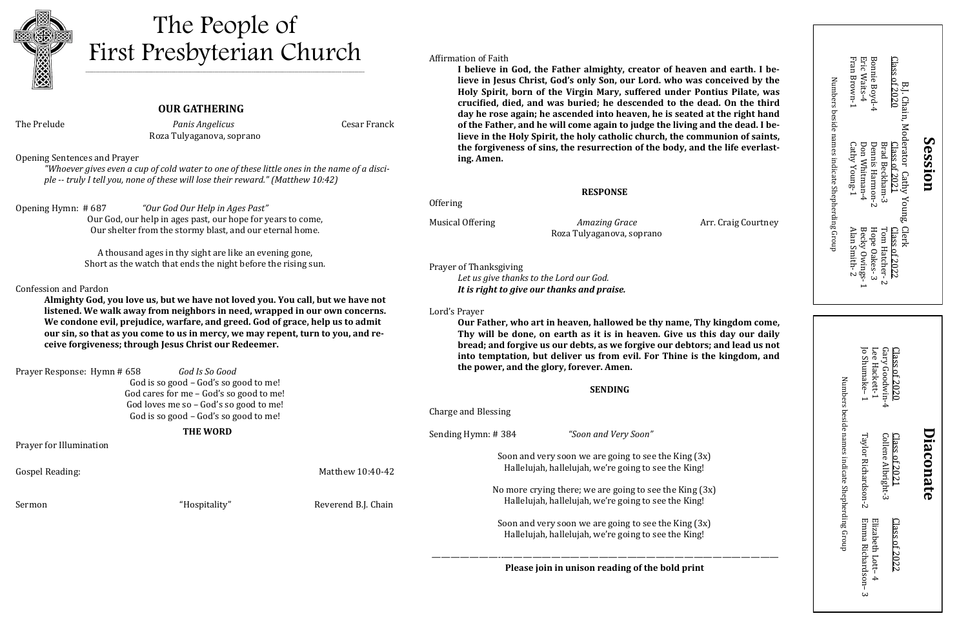**OUR GATHERING**  The Prelude *Panis Angelicus* Cesar Franck

Roza Tulyaganova, soprano

Opening Sentences and Prayer

*"Whoever gives even a cup of cold water to one of these little ones in the name of a disciple -- truly I tell you, none of these will lose their reward." (Matthew 10:42)*

Opening Hymn: # 687 *"Our God Our Help in Ages Past"* Our God, our help in ages past, our hope for years to come, Our shelter from the stormy blast, and our eternal home.

> A thousand ages in thy sight are like an evening gone, Short as the watch that ends the night before the rising sun.

#### Confession and Pardon

**Almighty God, you love us, but we have not loved you. You call, but we have not listened. We walk away from neighbors in need, wrapped in our own concerns. We condone evil, prejudice, warfare, and greed. God of grace, help us to admit our sin, so that as you come to us in mercy, we may repent, turn to you, and receive forgiveness; through Jesus Christ our Redeemer.**

Prayer Response: Hymn # 658 *God Is So Good* God is so good – God's so good to me! God cares for me – God's so good to me! God loves me so – God's so good to me! God is so good – God's so good to me!

 **THE WORD**

Prayer for Illumination

Gospel Reading: Matthew 10:40-4

Sermon "Hospitality" Reverend B.J. Chain

Affirmation of Faith

**I believe in God, the Father almighty, creator of heaven and earth. I believe in Jesus Christ, God's only Son, our Lord. who was conceived by the Holy Spirit, born of the Virgin Mary, suffered under Pontius Pilate, was crucified, died, and was buried; he descended to the dead. On the third day he rose again; he ascended into heaven, he is seated at the right hand of the Father, and he will come again to judge the living and the dead. I believe in the Holy Spirit, the holy catholic church, the communion of saints, the forgiveness of sins, the resurrection of the body, and the life everlasting. Amen.**

#### **RESPONSE**

Offering

Musical Offering *Amazing Grace* Arr. Craig Courtney Roza Tulyaganova, soprano

Prayer of Thanksgiving

*Let us give thanks to the Lord our God. It is right to give our thanks and praise.*

Lord's Prayer

**Our Father, who art in heaven, hallowed be thy name, Thy kingdom come, Thy will be done, on earth as it is in heaven. Give us this day our daily bread; and forgive us our debts, as we forgive our debtors; and lead us not into temptation, but deliver us from evil. For Thine is the kingdom, and the power, and the glory, forever. Amen.**

#### **SENDING**

|    | Charge and Blessing                                                                                               |
|----|-------------------------------------------------------------------------------------------------------------------|
|    | "Soon and Very Soon"<br>Sending Hymn: #384                                                                        |
| 42 | Soon and very soon we are going to see the King (3x)<br>Hallelujah, hallelujah, we're going to see the King!      |
| in | No more crying there; we are going to see the King $(3x)$<br>Hallelujah, hallelujah, we're going to see the King! |
|    | Soon and very soon we are going to see the King $(3x)$<br>Hallelujah, hallelujah, we're going to see the King!    |

*———————--*————————————————————————————— **Please join in unison reading of the bold print**



## The People of First Presbyterian Church

\_\_\_\_\_\_\_\_\_\_\_\_\_\_\_\_\_\_\_\_\_\_\_\_\_\_\_\_\_\_\_\_\_\_\_\_\_\_\_\_\_\_\_\_\_\_\_\_\_\_\_\_\_\_\_\_\_\_\_\_\_\_\_\_\_\_\_\_\_\_\_\_\_\_\_\_\_\_\_\_\_\_\_\_\_\_\_\_\_\_\_\_\_\_\_\_\_\_\_\_\_\_\_\_\_\_\_\_\_\_\_\_\_\_\_\_\_\_\_\_\_\_\_\_\_\_\_\_\_\_\_\_\_\_\_\_

|                                                 | Eric Waits-4<br>Bonnie Boyd-4<br>Fran Brown-1<br>Class of 2020                                                                   |         |
|-------------------------------------------------|----------------------------------------------------------------------------------------------------------------------------------|---------|
| Numbers beside names indicate Shepherding Group | B.J. Chain, Moderator Cathy Young, Clerk<br>Class of 2021<br>Cathy Young-1<br>Don Whitman-4<br>Dennis Harmon-2<br>Brad Beckham-3 | Session |
|                                                 | Tom Hatcher-2<br>Becky Owings-<br>Hope Oakes-3<br>Alan Smith-2<br>Class of 2022                                                  |         |
|                                                 |                                                                                                                                  |         |

|                                                 | Jo Shumake-1<br>Lee Hackett-1         | Gary Goodwin-4                      | Class of 2020 |                  |
|-------------------------------------------------|---------------------------------------|-------------------------------------|---------------|------------------|
| Numbers beside names indicate Shepherding Group | Taylor Richardson-2                   | Collene Albright-3<br>Class of 2021 |               | <b>Diaconate</b> |
|                                                 | Emma Richardson-3<br>Elizabeth Lott-4 |                                     | Class of 2022 |                  |